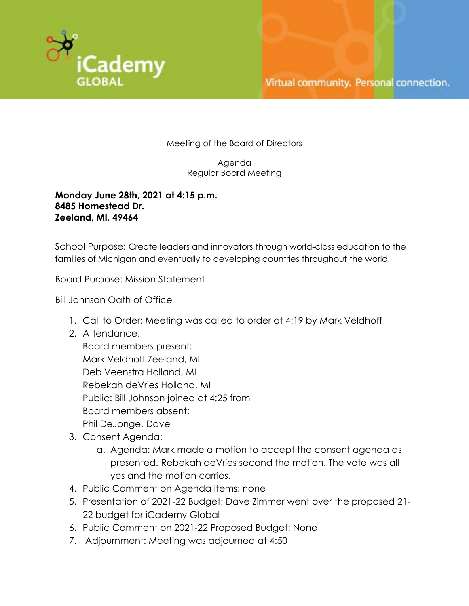

Meeting of the Board of Directors

Agenda Regular Board Meeting

**Monday June 28th, 2021 at 4:15 p.m. 8485 Homestead Dr. Zeeland, MI, 49464**

School Purpose: Create leaders and innovators through world-class education to the families of Michigan and eventually to developing countries throughout the world.

Board Purpose: Mission Statement

Bill Johnson Oath of Office

- 1. Call to Order: Meeting was called to order at 4:19 by Mark Veldhoff
- 2. Attendance:

Board members present: Mark Veldhoff Zeeland, MI Deb Veenstra Holland, MI Rebekah deVries Holland, MI Public: Bill Johnson joined at 4:25 from Board members absent: Phil DeJonge, Dave

- 3. Consent Agenda:
	- a. Agenda: Mark made a motion to accept the consent agenda as presented. Rebekah deVries second the motion. The vote was all yes and the motion carries.
- 4. Public Comment on Agenda Items: none
- 5. Presentation of 2021-22 Budget: Dave Zimmer went over the proposed 21- 22 budget for iCademy Global
- 6. Public Comment on 2021-22 Proposed Budget: None
- 7. Adjournment: Meeting was adjourned at 4:50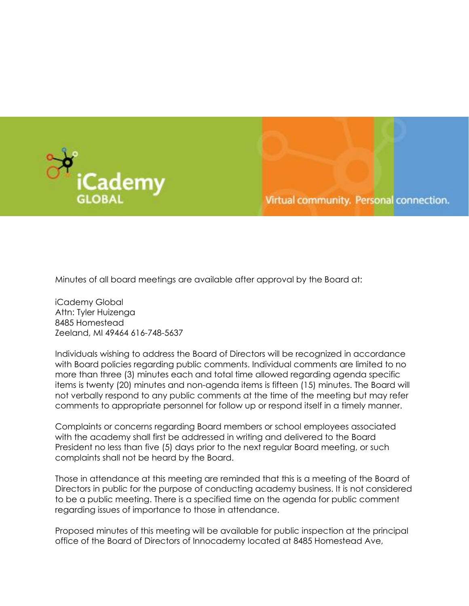



Minutes of all board meetings are available after approval by the Board at:

iCademy Global Attn: Tyler Huizenga 8485 Homestead Zeeland, MI 49464 616-748-5637

Individuals wishing to address the Board of Directors will be recognized in accordance with Board policies regarding public comments. Individual comments are limited to no more than three (3) minutes each and total time allowed regarding agenda specific items is twenty (20) minutes and non-agenda items is fifteen (15) minutes. The Board will not verbally respond to any public comments at the time of the meeting but may refer comments to appropriate personnel for follow up or respond itself in a timely manner.

Complaints or concerns regarding Board members or school employees associated with the academy shall first be addressed in writing and delivered to the Board President no less than five (5) days prior to the next regular Board meeting, or such complaints shall not be heard by the Board.

Those in attendance at this meeting are reminded that this is a meeting of the Board of Directors in public for the purpose of conducting academy business. It is not considered to be a public meeting. There is a specified time on the agenda for public comment regarding issues of importance to those in attendance.

Proposed minutes of this meeting will be available for public inspection at the principal office of the Board of Directors of Innocademy located at 8485 Homestead Ave,